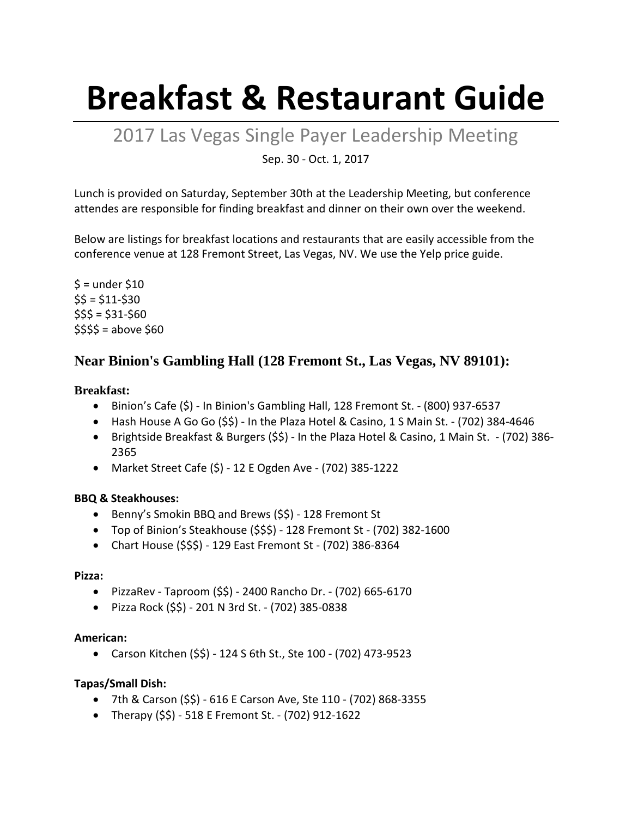# **Breakfast & Restaurant Guide**

2017 Las Vegas Single Payer Leadership Meeting

Sep. 30 - Oct. 1, 2017

Lunch is provided on Saturday, September 30th at the Leadership Meeting, but conference attendes are responsible for finding breakfast and dinner on their own over the weekend.

Below are listings for breakfast locations and restaurants that are easily accessible from the conference venue at 128 Fremont Street, Las Vegas, NV. We use the Yelp price guide.

 $$ =$  under  $$10$  $$5 = $11 - $30$  $$55 = $31 - $60$  $$555 = above $60$ 

# **Near Binion's Gambling Hall (128 Fremont St., Las Vegas, NV 89101):**

## **Breakfast:**

- Binion's Cafe (\$) In Binion's Gambling Hall, 128 Fremont St. (800) 937-6537
- Hash House A Go Go  $(55)$  In the Plaza Hotel & Casino, 1 S Main St. (702) 384-4646
- Brightside Breakfast & Burgers (\$\$) In the Plaza Hotel & Casino, 1 Main St. (702) 386- 2365
- Market Street Cafe (\$) 12 E Ogden Ave (702) 385-1222

## **BBQ & Steakhouses:**

- Benny's Smokin BBQ and Brews (\$\$) 128 Fremont St
- Top of Binion's Steakhouse (\$\$\$) 128 Fremont St (702) 382-1600
- Chart House (\$\$\$) 129 East Fremont St (702) 386-8364

## **Pizza:**

- PizzaRev Taproom (\$\$) 2400 Rancho Dr. (702) 665-6170
- Pizza Rock (\$\$) 201 N 3rd St. (702) 385-0838

## **American:**

Carson Kitchen (\$\$) - 124 S 6th St., Ste 100 - (702) 473-9523

## **Tapas/Small Dish:**

- 7th & Carson (\$\$) 616 E Carson Ave, Ste 110 (702) 868-3355
- Therapy  $(55)$  518 E Fremont St. (702) 912-1622